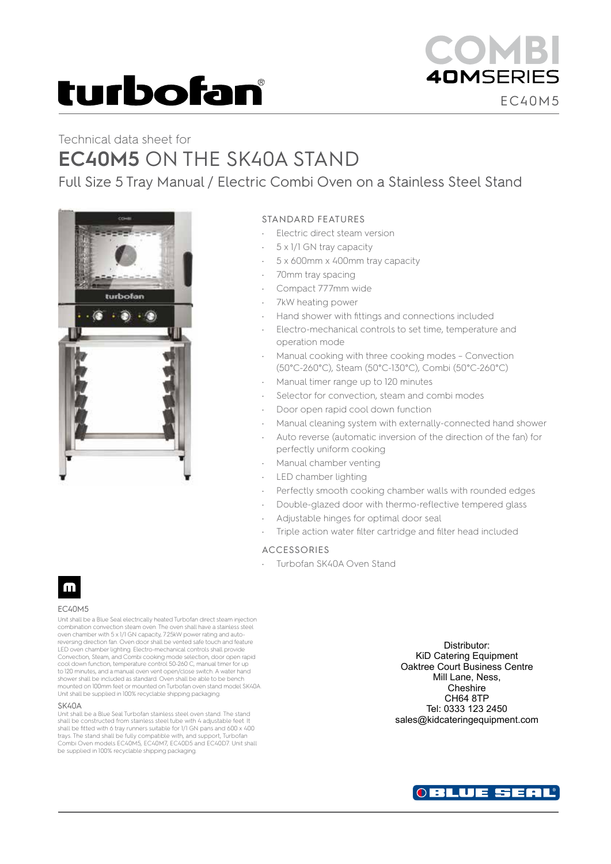# turbofan

# Technical data sheet for **EC40M5** ON THE SK40A STAND

Full Size 5 Tray Manual / Electric Combi Oven on a Stainless Steel Stand



### STANDARD FEATURES

- Electric direct steam version
- 5 x 1/1 GN tray capacity
- 5 x 600mm x 400mm tray capacity
- 70mm tray spacing
- Compact 777mm wide
- 7kW heating power
- Hand shower with fittings and connections included
- Electro-mechanical controls to set time, temperature and operation mode
- Manual cooking with three cooking modes Convection (50°C-260°C), Steam (50°C-130°C), Combi (50°C-260°C)
- Manual timer range up to 120 minutes
- Selector for convection, steam and combi modes
- Door open rapid cool down function
- Manual cleaning system with externally-connected hand shower
- Auto reverse (automatic inversion of the direction of the fan) for perfectly uniform cooking
- Manual chamber venting
- LED chamber lighting
- Perfectly smooth cooking chamber walls with rounded edges
	- Double-glazed door with thermo-reflective tempered glass
- Adjustable hinges for optimal door seal
- Triple action water filter cartridge and filter head included

#### ACCESSORIES

• Turbofan SK40A Oven Stand



#### EC40M5

Unit shall be a Blue Seal electrically heated Turbofan direct steam injection combination convection steam oven. The oven shall have a stainless steel oven chamber with 5 x 1/1 GN capacity, 7.25kW power rating and auto-reversing direction fan. Oven door shall be vented safe touch and feature LED oven chamber lighting. Electro-mechanical controls shall provide Convection, Steam, and Combi cooking mode selection, door open rapid cool down function, temperature control 50-260 C, manual timer for up to 120 minutes, and a manual oven vent open/close switch. A water hand shower shall be included as standard. Oven shall be able to be bench mounted on 100mm feet or mounted on Turbofan oven stand model SK40A. Unit shall be supplied in 100% recyclable shipping packaging.

#### **SK40A**

Unit shall be a Blue Seal Turbofan stainless steel oven stand. The stand shall be constructed from stainless steel tube with 4 adjustable feet. It shall be fitted with 6 tray runners suitable for 1/1 GN pans and 600 x 400 trays. The stand shall be fully compatible with, and support, Turbofan Combi Oven models EC40M5, EC40M7, EC40D5 and EC40D7. Unit shall be supplied in 100% recyclable shipping packaging.

Distributor: KiD Catering Equipment Oaktree Court Business Centre Mill Lane, Ness, **Cheshire** CH64 8TP Tel: 0333 123 2450 sales@kidcateringequipment.com

EC40M5

**40MSERIES**